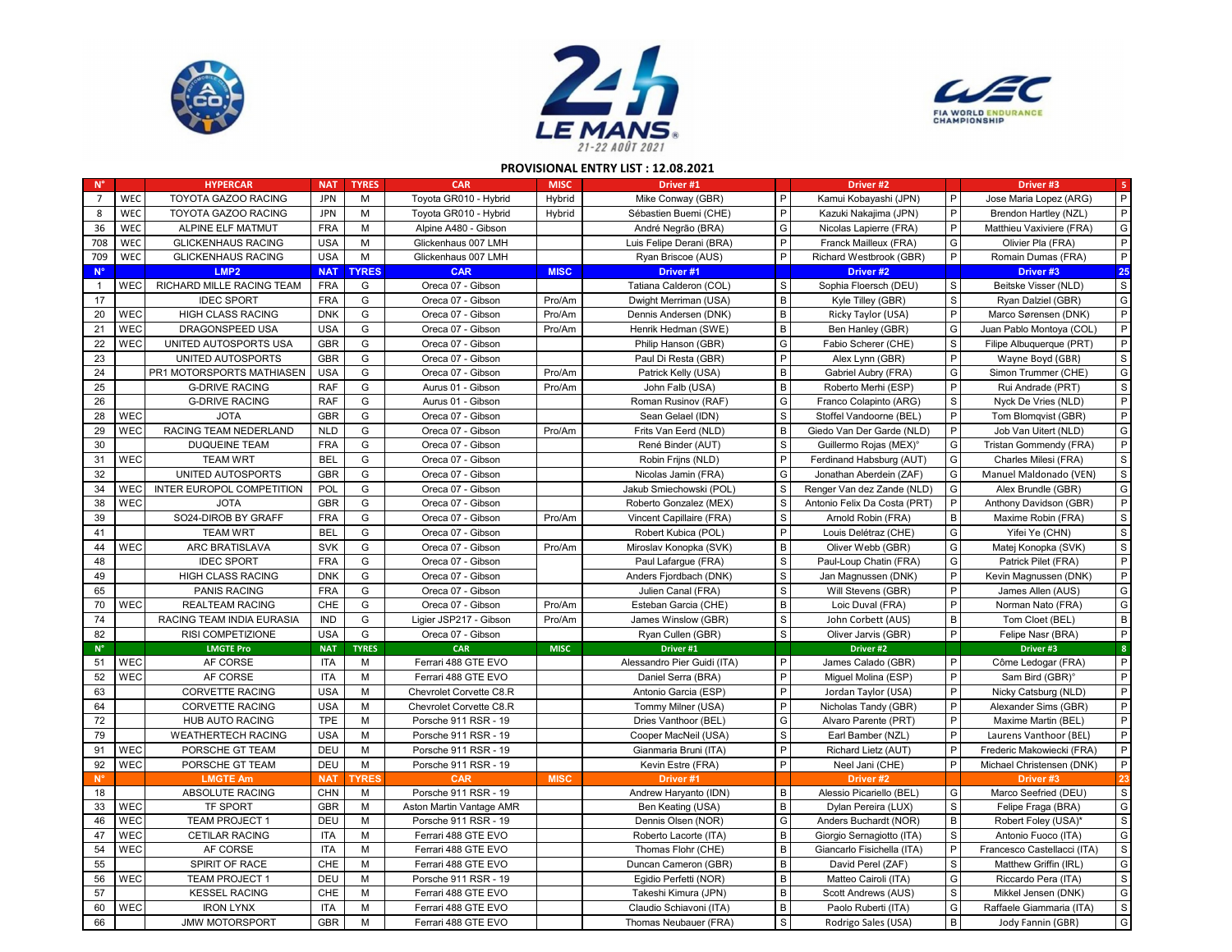





## **PROVISIONAL ENTRY LIST : 12.08.2021**

| $N^{\circ}$    |            | <b>HYPERCAR</b>            | <b>NAT</b> | <b>TYRES</b> | <b>CAR</b>               | <b>MISC</b> | Driver #1                   |              | Driver #2                          |              | Driver #3                   | $-5$          |
|----------------|------------|----------------------------|------------|--------------|--------------------------|-------------|-----------------------------|--------------|------------------------------------|--------------|-----------------------------|---------------|
| $\overline{7}$ | WEC        | TOYOTA GAZOO RACING        | <b>JPN</b> | M            | Toyota GR010 - Hybrid    | Hybrid      | Mike Conway (GBR)           | P            | Kamui Kobayashi (JPN)              | $\mathsf{P}$ | Jose Maria Lopez (ARG)      | P             |
| 8              | <b>WEC</b> | <b>TOYOTA GAZOO RACING</b> | <b>JPN</b> | M            | Toyota GR010 - Hybrid    | Hybrid      | Sébastien Buemi (CHE)       | P            | Kazuki Nakajima (JPN)              | P            | Brendon Hartley (NZL)       | P             |
| 36             | WEC        | ALPINE ELF MATMUT          | <b>FRA</b> | M            | Alpine A480 - Gibson     |             | André Negrão (BRA)          | G            | Nicolas Lapierre (FRA)             | $\mathsf{P}$ | Matthieu Vaxiviere (FRA)    | G             |
| 708            | WEC        | <b>GLICKENHAUS RACING</b>  | <b>USA</b> | M            | Glickenhaus 007 LMH      |             | Luis Felipe Derani (BRA)    | P            | Franck Mailleux (FRA)              | G            | Olivier Pla (FRA)           | P             |
| 709            | WEC        | <b>GLICKENHAUS RACING</b>  | <b>USA</b> | M            | Glickenhaus 007 LMH      |             | Ryan Briscoe (AUS)          | P            | Richard Westbrook (GBR)            | P            | Romain Dumas (FRA)          | P             |
| $N^{\circ}$    |            | LMP <sub>2</sub>           | <b>NAT</b> | <b>TYRES</b> | <b>CAR</b>               | <b>MISC</b> | Driver #1                   |              | Driver #2                          |              | Driver #3                   | 25            |
| $\mathbf{1}$   | <b>WEC</b> | RICHARD MILLE RACING TEAM  | <b>FRA</b> | G            | Oreca 07 - Gibson        |             | Tatiana Calderon (COL)      | S            | Sophia Floersch (DEU)              | S            | Beitske Visser (NLD)        | $\mathsf{s}$  |
| 17             |            | <b>IDEC SPORT</b>          | <b>FRA</b> | G            | Oreca 07 - Gibson        | Pro/Am      | Dwight Merriman (USA)       | B            | Kyle Tilley (GBR)                  | $\mathsf S$  | Ryan Dalziel (GBR)          | G             |
| 20             | WEC        | <b>HIGH CLASS RACING</b>   | <b>DNK</b> | G            | Oreca 07 - Gibson        | Pro/Am      | Dennis Andersen (DNK)       | В            | Ricky Taylor (USA)                 | P            | Marco Sørensen (DNK)        | P             |
| 21             | WEC        | DRAGONSPEED USA            | <b>USA</b> | G            | Oreca 07 - Gibson        | Pro/Am      | Henrik Hedman (SWE)         | B            | Ben Hanley (GBR)                   | G            | Juan Pablo Montoya (COL)    | P             |
| 22             | WEC        | UNITED AUTOSPORTS USA      | GBR        | G            | Oreca 07 - Gibson        |             | Philip Hanson (GBR)         | G            | Fabio Scherer (CHE)                | S            | Filipe Albuquerque (PRT)    | P             |
| 23             |            | UNITED AUTOSPORTS          | GBR        | G            | Oreca 07 - Gibson        |             | Paul Di Resta (GBR)         | P            | Alex Lynn (GBR)                    | $\mathsf{P}$ | Wayne Boyd (GBR)            | $\mathsf S$   |
| 24             |            | PR1 MOTORSPORTS MATHIASEN  | <b>USA</b> | G            | Oreca 07 - Gibson        | Pro/Am      | Patrick Kelly (USA)         | $\, {\bf B}$ | Gabriel Aubry (FRA)                | G            | Simon Trummer (CHE)         | G             |
| 25             |            | <b>G-DRIVE RACING</b>      | <b>RAF</b> | G            | Aurus 01 - Gibson        | Pro/Am      | John Falb (USA)             | В            | Roberto Merhi (ESP)                | $\mathsf{P}$ | Rui Andrade (PRT)           | S             |
| 26             |            | <b>G-DRIVE RACING</b>      | <b>RAF</b> | G            | Aurus 01 - Gibson        |             | Roman Rusinov (RAF)         | G            | Franco Colapinto (ARG)             | $\mathsf S$  | Nyck De Vries (NLD)         | P             |
| 28             | WEC        | <b>JOTA</b>                | GBR        | G            | Oreca 07 - Gibson        |             | Sean Gelael (IDN)           | S            | Stoffel Vandoorne (BEL)            | P            | Tom Blomqvist (GBR)         | P             |
| 29             | WEC        | RACING TEAM NEDERLAND      | <b>NLD</b> | G            | Oreca 07 - Gibson        | Pro/Am      | Frits Van Eerd (NLD)        | B            | Giedo Van Der Garde (NLD)          | $\mathsf{P}$ | Job Van Uitert (NLD)        | G             |
| 30             |            | <b>DUQUEINE TEAM</b>       | <b>FRA</b> | G            | Oreca 07 - Gibson        |             | René Binder (AUT)           | S            | Guillermo Rojas (MEX) <sup>®</sup> | G            | Tristan Gommendy (FRA)      | P             |
| 31             | <b>WEC</b> | <b>TEAM WRT</b>            | <b>BEL</b> | G            | Oreca 07 - Gibson        |             | Robin Frijns (NLD)          | P            | Ferdinand Habsburg (AUT)           | G            | Charles Milesi (FRA)        | $\mathsf S$   |
| 32             |            | UNITED AUTOSPORTS          | GBR        | G            | Oreca 07 - Gibson        |             | Nicolas Jamin (FRA)         | G            | Jonathan Aberdein (ZAF)            | G            | Manuel Maldonado (VEN)      | $\mathsf{s}$  |
| 34             | <b>WEC</b> | INTER EUROPOL COMPETITION  | POL        | G            | Oreca 07 - Gibson        |             | Jakub Smiechowski (POL)     | S            | Renger Van dez Zande (NLD)         | G            | Alex Brundle (GBR)          | G             |
| 38             | <b>WEC</b> | <b>JOTA</b>                | <b>GBR</b> | G            | Oreca 07 - Gibson        |             | Roberto Gonzalez (MEX)      | S            | Antonio Felix Da Costa (PRT)       | P            | Anthony Davidson (GBR)      | P             |
| 39             |            | SO24-DIROB BY GRAFF        | <b>FRA</b> | G            | Oreca 07 - Gibson        | Pro/Am      | Vincent Capillaire (FRA)    | S            | Arnold Robin (FRA)                 | B            | Maxime Robin (FRA)          | $\mathsf S$   |
| 41             |            | <b>TEAM WRT</b>            | <b>BEL</b> | G            | Oreca 07 - Gibson        |             | Robert Kubica (POL)         | P            | Louis Delétraz (CHE)               | G            | Yifei Ye (CHN)              | $\mathbb S$   |
| 44             | WEC        | <b>ARC BRATISLAVA</b>      | <b>SVK</b> | G            | Oreca 07 - Gibson        | Pro/Am      | Miroslav Konopka (SVK)      | В            | Oliver Webb (GBR)                  | G            | Matej Konopka (SVK)         | $\mathsf{s}$  |
| 48             |            | <b>IDEC SPORT</b>          | <b>FRA</b> | G            | Oreca 07 - Gibson        |             | Paul Lafargue (FRA)         | S            | Paul-Loup Chatin (FRA)             | G            | Patrick Pilet (FRA)         | P             |
| 49             |            | <b>HIGH CLASS RACING</b>   | <b>DNK</b> | G            | Oreca 07 - Gibson        |             | Anders Fjordbach (DNK)      | S            | Jan Magnussen (DNK)                | P            | Kevin Magnussen (DNK)       | P             |
| 65             |            | <b>PANIS RACING</b>        | <b>FRA</b> | G            | Oreca 07 - Gibson        |             | Julien Canal (FRA)          | $\mathbb S$  | Will Stevens (GBR)                 | $\mathsf{P}$ | James Allen (AUS)           | ${\mathbb G}$ |
| 70             | <b>WEC</b> | <b>REALTEAM RACING</b>     | CHE        | G            | Oreca 07 - Gibson        | Pro/Am      | Esteban Garcia (CHE)        | $\, {\bf B}$ | Loic Duval (FRA)                   | P            | Norman Nato (FRA)           | ${\mathsf G}$ |
| 74             |            | RACING TEAM INDIA EURASIA  | IND        | G            | Ligier JSP217 - Gibson   | Pro/Am      | James Winslow (GBR)         | S            | John Corbett (AUS)                 | B            | Tom Cloet (BEL)             | $\,$ B        |
| 82             |            | RISI COMPETIZIONE          | <b>USA</b> | G            | Oreca 07 - Gibson        |             | Ryan Cullen (GBR)           | S            | Oliver Jarvis (GBR)                | P            | Felipe Nasr (BRA)           | P             |
| $N^{\circ}$    |            | <b>LMGTE Pro</b>           | <b>NAT</b> | <b>TYRES</b> | CAR                      | <b>MISC</b> | Driver #1                   |              | Driver <sub>#2</sub>               |              | Driver #3                   | $\mathbf{8}$  |
| 51             | <b>WEC</b> | AF CORSE                   | <b>ITA</b> | М            | Ferrari 488 GTE EVO      |             | Alessandro Pier Guidi (ITA) | P            | James Calado (GBR)                 | P            | Côme Ledogar (FRA)          | P             |
| 52             | <b>WEC</b> | AF CORSE                   | <b>ITA</b> | M            | Ferrari 488 GTE EVO      |             | Daniel Serra (BRA)          | P            | Miquel Molina (ESP)                | P            | Sam Bird (GBR) <sup>e</sup> | P             |
| 63             |            | <b>CORVETTE RACING</b>     | <b>USA</b> | M            | Chevrolet Corvette C8.R  |             | Antonio Garcia (ESP)        | P            | Jordan Taylor (USA)                | $\mathsf{P}$ | Nicky Catsburg (NLD)        | P             |
| 64             |            | <b>CORVETTE RACING</b>     | <b>USA</b> | M            | Chevrolet Corvette C8.R  |             | Tommy Milner (USA)          | P            | Nicholas Tandy (GBR)               | P            | Alexander Sims (GBR)        | P             |
| 72             |            | <b>HUB AUTO RACING</b>     | <b>TPE</b> | М            | Porsche 911 RSR - 19     |             | Dries Vanthoor (BEL)        | G            | Alvaro Parente (PRT)               | P            | Maxime Martin (BEL)         | P             |
| 79             |            | <b>WEATHERTECH RACING</b>  | <b>USA</b> | М            | Porsche 911 RSR - 19     |             | Cooper MacNeil (USA)        | S            | Earl Bamber (NZL)                  | P            | Laurens Vanthoor (BEL)      | P             |
| 91             | <b>WEC</b> | PORSCHE GT TEAM            | DEU        | M            | Porsche 911 RSR - 19     |             | Gianmaria Bruni (ITA)       | P            | Richard Lietz (AUT)                | $\mathsf{P}$ | Frederic Makowiecki (FRA)   | P             |
| 92             | WEC        | PORSCHE GT TEAM            | DEU        | M            | Porsche 911 RSR - 19     |             | Kevin Estre (FRA)           | P            | Neel Jani (CHE)                    | P            | Michael Christensen (DNK)   | P             |
| $N^{\circ}$    |            | <b>LMGTE Am</b>            | <b>NAT</b> | <b>TYRE</b>  | <b>CAR</b>               | <b>MISC</b> | Driver #1                   |              | Driver #2                          |              | Driver #3                   | 23            |
| 18             |            | ABSOLUTE RACING            | <b>CHN</b> | М            | Porsche 911 RSR - 19     |             | Andrew Haryanto (IDN)       | B            | Alessio Picariello (BEL)           | G            | Marco Seefried (DEU)        | $\mathbf{s}$  |
| 33             | <b>WEC</b> | <b>TF SPORT</b>            | <b>GBR</b> | M            | Aston Martin Vantage AMR |             | Ben Keating (USA)           | B            | Dylan Pereira (LUX)                | $\mathbb S$  | Felipe Fraga (BRA)          | G             |
| 46             | <b>WEC</b> | <b>TEAM PROJECT 1</b>      | DEU        | M            | Porsche 911 RSR - 19     |             | Dennis Olsen (NOR)          | G            | Anders Buchardt (NOR)              | B            | Robert Foley (USA)*         | S             |
| 47             | WEC        | <b>CETILAR RACING</b>      | <b>ITA</b> | M            | Ferrari 488 GTE EVO      |             | Roberto Lacorte (ITA)       | B            | Giorgio Sernagiotto (ITA)          | $\mathbb S$  | Antonio Fuoco (ITA)         | G             |
| 54             | WEC        | AF CORSE                   | <b>ITA</b> | М            | Ferrari 488 GTE EVO      |             | Thomas Flohr (CHE)          | B            | Giancarlo Fisichella (ITA)         | P            | Francesco Castellacci (ITA) | $\mathsf S$   |
| 55             |            | SPIRIT OF RACE             | CHE        | М            | Ferrari 488 GTE EVO      |             | Duncan Cameron (GBR)        | $\, {\bf B}$ | David Perel (ZAF)                  | $\mathsf S$  | Matthew Griffin (IRL)       | G             |
| 56             | <b>WEC</b> | <b>TEAM PROJECT 1</b>      | DEU        | M            | Porsche 911 RSR - 19     |             | Egidio Perfetti (NOR)       | B            | Matteo Cairoli (ITA)               | G            | Riccardo Pera (ITA)         | S             |
| 57             |            | <b>KESSEL RACING</b>       | CHE        | M            | Ferrari 488 GTE EVO      |             | Takeshi Kimura (JPN)        | B            | Scott Andrews (AUS)                | S            | Mikkel Jensen (DNK)         | G             |
| 60             | <b>WEC</b> | <b>IRON LYNX</b>           | <b>ITA</b> | М            | Ferrari 488 GTE EVO      |             | Claudio Schiavoni (ITA)     | B            | Paolo Ruberti (ITA)                | G            | Raffaele Giammaria (ITA)    | S             |
| 66             |            | <b>JMW MOTORSPORT</b>      | <b>GBR</b> | М            | Ferrari 488 GTE EVO      |             | Thomas Neubauer (FRA)       | ${\tt S}$    | Rodrigo Sales (USA)                | B            | Jody Fannin (GBR)           | G             |